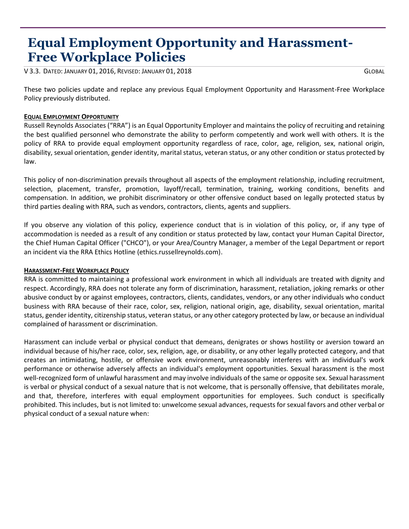# **Equal Employment Opportunity and Harassment- Free Workplace Policies**

V 3.3. DATED: JANUARY 01, 2016, REVISED: JANUARY 01, 2018 GLOBAL

These two policies update and replace any previous Equal Employment Opportunity and Harassment-Free Workplace Policy previously distributed.

## **EQUAL EMPLOYMENT OPPORTUNITY**

Russell Reynolds Associates ("RRA") is an Equal Opportunity Employer and maintains the policy of recruiting and retaining the best qualified personnel who demonstrate the ability to perform competently and work well with others. It is the policy of RRA to provide equal employment opportunity regardless of race, color, age, religion, sex, national origin, disability, sexual orientation, gender identity, marital status, veteran status, or any other condition or status protected by law.

This policy of non-discrimination prevails throughout all aspects of the employment relationship, including recruitment, selection, placement, transfer, promotion, layoff/recall, termination, training, working conditions, benefits and compensation. In addition, we prohibit discriminatory or other offensive conduct based on legally protected status by third parties dealing with RRA, such as vendors, contractors, clients, agents and suppliers.

If you observe any violation of this policy, experience conduct that is in violation of this policy, or, if any type of accommodation is needed as a result of any condition or status protected by law, contact your Human Capital Director, the Chief Human Capital Officer ("CHCO"), or your Area/Country Manager, a member of the Legal Department or report an incident via the RRA Ethics Hotline (ethics.russellreynolds.com).

### **HARASSMENT-FREE WORKPLACE POLICY**

RRA is committed to maintaining a professional work environment in which all individuals are treated with dignity and respect. Accordingly, RRA does not tolerate any form of discrimination, harassment, retaliation, joking remarks or other abusive conduct by or against employees, contractors, clients, candidates, vendors, or any other individuals who conduct business with RRA because of their race, color, sex, religion, national origin, age, disability, sexual orientation, marital status, gender identity, citizenship status, veteran status, or any other category protected by law, or because an individual complained of harassment or discrimination.

Harassment can include verbal or physical conduct that demeans, denigrates or shows hostility or aversion toward an individual because of his/her race, color, sex, religion, age, or disability, or any other legally protected category, and that creates an intimidating, hostile, or offensive work environment, unreasonably interferes with an individual's work performance or otherwise adversely affects an individual's employment opportunities. Sexual harassment is the most well-recognized form of unlawful harassment and may involve individuals of the same or opposite sex. Sexual harassment is verbal or physical conduct of a sexual nature that is not welcome, that is personally offensive, that debilitates morale, and that, therefore, interferes with equal employment opportunities for employees. Such conduct is specifically prohibited. This includes, but is not limited to: unwelcome sexual advances, requests for sexual favors and other verbal or physical conduct of a sexual nature when: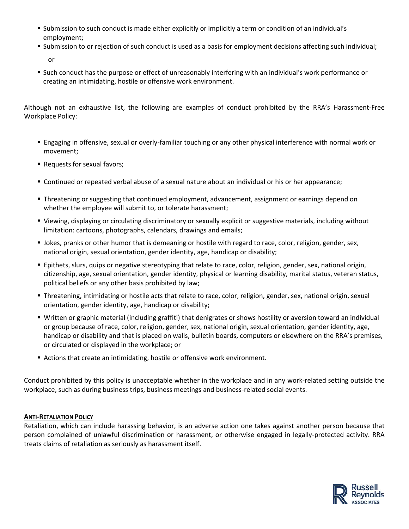- Submission to such conduct is made either explicitly or implicitly a term or condition of an individual's employment;
- Submission to or rejection of such conduct is used as a basis for employment decisions affecting such individual; or
- Such conduct has the purpose or effect of unreasonably interfering with an individual's work performance or creating an intimidating, hostile or offensive work environment.

Although not an exhaustive list, the following are examples of conduct prohibited by the RRA's Harassment-Free Workplace Policy:

- Engaging in offensive, sexual or overly-familiar touching or any other physical interference with normal work or movement;
- Requests for sexual favors;
- Continued or repeated verbal abuse of a sexual nature about an individual or his or her appearance;
- Threatening or suggesting that continued employment, advancement, assignment or earnings depend on whether the employee will submit to, or tolerate harassment;
- Viewing, displaying or circulating discriminatory or sexually explicit or suggestive materials, including without limitation: cartoons, photographs, calendars, drawings and emails;
- Jokes, pranks or other humor that is demeaning or hostile with regard to race, color, religion, gender, sex, national origin, sexual orientation, gender identity, age, handicap or disability;
- Epithets, slurs, quips or negative stereotyping that relate to race, color, religion, gender, sex, national origin, citizenship, age, sexual orientation, gender identity, physical or learning disability, marital status, veteran status, political beliefs or any other basis prohibited by law;
- Threatening, intimidating or hostile acts that relate to race, color, religion, gender, sex, national origin, sexual orientation, gender identity, age, handicap or disability;
- Written or graphic material (including graffiti) that denigrates or shows hostility or aversion toward an individual or group because of race, color, religion, gender, sex, national origin, sexual orientation, gender identity, age, handicap or disability and that is placed on walls, bulletin boards, computers or elsewhere on the RRA's premises, or circulated or displayed in the workplace; or
- Actions that create an intimidating, hostile or offensive work environment.

Conduct prohibited by this policy is unacceptable whether in the workplace and in any work-related setting outside the workplace, such as during business trips, business meetings and business-related social events.

### **ANTI-RETALIATION POLICY**

Retaliation, which can include harassing behavior, is an adverse action one takes against another person because that person complained of unlawful discrimination or harassment, or otherwise engaged in legally-protected activity. RRA treats claims of retaliation as seriously as harassment itself.

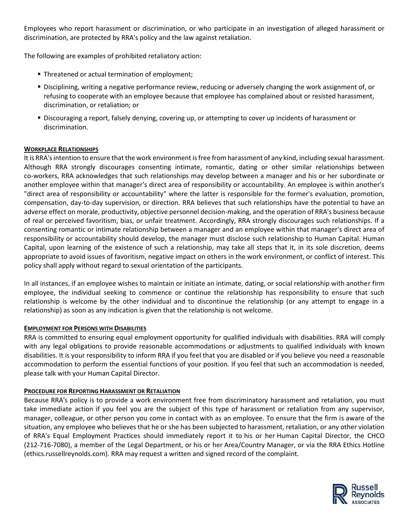Employees who report harassment or discrimination, or who participate in an investigation of alleged harassment or discrimination, are protected by RRA's policy and the law against retaliation.

The following are examples of prohibited retaliatory action:

- **Threatened or actual termination of employment;**
- Disciplining, writing a negative performance review, reducing or adversely changing the work assignment of, or refusing to cooperate with an employee because that employee has complained about or resisted harassment, discrimination, or retaliation; or
- Discouraging a report, falsely denying, covering up, or attempting to cover up incidents of harassment or discrimination.

### **WORKPLACE RELATIONSHIPS**

It is RRA's intention to ensure that the work environment is free from harassment of any kind, including sexual harassment. Although RRA strongly discourages consenting intimate, romantic, dating or other similar relationships between co-workers, RRA acknowledges that such relationships may develop between a manager and his or her subordinate or another employee within that manager's direct area of responsibility or accountability. An employee is within another's "direct area of responsibility or accountability" where the latter is responsible for the former's evaluation, promotion, compensation, day-to-day supervision, or direction. RRA believes that such relationships have the potential to have an adverse effect on morale, productivity, objective personnel decision-making, and the operation of RRA's business because of real or perceived favoritism, bias, or unfair treatment. Accordingly, RRA strongly discourages such relationships. If a consenting romantic or intimate relationship between a manager and an employee within that manager's direct area of responsibility or accountability should develop, the manager must disclose such relationship to Human Capital. Human Capital, upon learning of the existence of such a relationship, may take all steps that it, in its sole discretion, deems appropriate to avoid issues of favoritism, negative impact on others in the work environment, or conflict of interest. This policy shall apply without regard to sexual orientation of the participants.

In all instances, if an employee wishes to maintain or initiate an intimate, dating, or social relationship with another firm employee, the individual seeking to commence or continue the relationship has responsibility to ensure that such relationship is welcome by the other individual and to discontinue the relationship (or any attempt to engage in a relationship) as soon as any indication is given that the relationship is not welcome.

#### **EMPLOYMENT FOR PERSONS WITH DISABILITIES**

RRA is committed to ensuring equal employment opportunity for qualified individuals with disabilities. RRA will comply with any legal obligations to provide reasonable accommodations or adjustments to qualified individuals with known disabilities. It is your responsibility to inform RRA if you feel that you are disabled or if you believe you need a reasonable accommodation to perform the essential functions of your position. If you feel that such an accommodation is needed, please talk with your Human Capital Director.

### **PROCEDURE FOR REPORTING HARASSMENT OR RETALIATION**

Because RRA's policy is to provide a work environment free from discriminatory harassment and retaliation, you must take immediate action if you feel you are the subject of this type of harassment or retaliation from any supervisor, manager, colleague, or other person you come in contact with as an employee. To ensure that the firm is aware of the situation, any employee who believes that he or she has been subjected to harassment, retaliation, or any other violation of RRA's Equal Employment Practices should immediately report it to his or her Human Capital Director, the CHCO (212-716-7080), a member of the Legal Department, or his or her Area/Country Manager, or via the RRA Ethics Hotline (ethics.russellreynolds.com). RRA may request a written and signed record of the complaint.